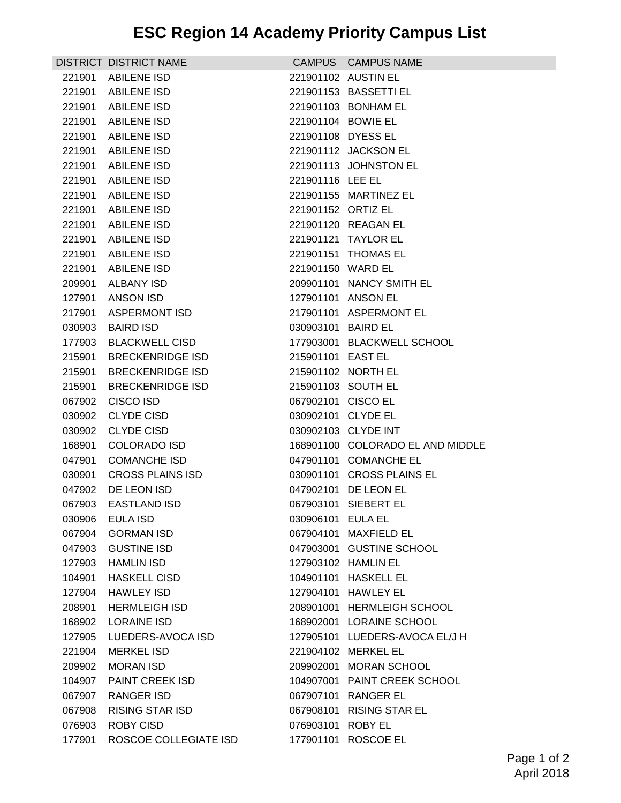|        | DISTRICT DISTRICT NAME  |                    | CAMPUS CAMPUS NAME               |
|--------|-------------------------|--------------------|----------------------------------|
|        | 221901 ABILENE ISD      |                    | 221901102 AUSTIN EL              |
| 221901 | <b>ABILENE ISD</b>      |                    | 221901153 BASSETTI EL            |
| 221901 | ABILENE ISD             |                    | 221901103 BONHAM EL              |
| 221901 | ABILENE ISD             | 221901104 BOWIE EL |                                  |
|        | 221901 ABILENE ISD      | 221901108 DYESS EL |                                  |
|        | 221901 ABILENE ISD      |                    | 221901112 JACKSON EL             |
| 221901 | <b>ABILENE ISD</b>      |                    | 221901113 JOHNSTON EL            |
| 221901 | <b>ABILENE ISD</b>      | 221901116 LEE EL   |                                  |
| 221901 | ABILENE ISD             |                    | 221901155 MARTINEZ EL            |
|        | 221901 ABILENE ISD      | 221901152 ORTIZ EL |                                  |
| 221901 | <b>ABILENE ISD</b>      |                    | 221901120 REAGAN EL              |
| 221901 | <b>ABILENE ISD</b>      |                    | 221901121 TAYLOR EL              |
| 221901 | <b>ABILENE ISD</b>      |                    | 221901151 THOMAS EL              |
| 221901 | ABILENE ISD             | 221901150 WARD EL  |                                  |
| 209901 | ALBANY ISD              |                    | 209901101 NANCY SMITH EL         |
| 127901 | <b>ANSON ISD</b>        |                    | 127901101 ANSON EL               |
| 217901 | <b>ASPERMONT ISD</b>    |                    | 217901101 ASPERMONT EL           |
| 030903 | <b>BAIRD ISD</b>        | 030903101 BAIRD EL |                                  |
|        | 177903 BLACKWELL CISD   |                    | 177903001 BLACKWELL SCHOOL       |
|        | 215901 BRECKENRIDGE ISD | 215901101 EAST EL  |                                  |
| 215901 | <b>BRECKENRIDGE ISD</b> |                    | 215901102 NORTH EL               |
| 215901 | <b>BRECKENRIDGE ISD</b> |                    | 215901103 SOUTH EL               |
| 067902 | <b>CISCO ISD</b>        | 067902101 CISCO EL |                                  |
| 030902 | <b>CLYDE CISD</b>       | 030902101 CLYDE EL |                                  |
| 030902 | <b>CLYDE CISD</b>       |                    | 030902103 CLYDE INT              |
| 168901 | <b>COLORADO ISD</b>     |                    | 168901100 COLORADO EL AND MIDDLE |
| 047901 | <b>COMANCHE ISD</b>     |                    | 047901101 COMANCHE EL            |
| 030901 | <b>CROSS PLAINS ISD</b> |                    | 030901101 CROSS PLAINS EL        |
| 047902 | DE LEON ISD             |                    | 047902101 DE LEON EL             |
| 067903 | EASTLAND ISD            |                    | 067903101 SIEBERT EL             |
| 030906 | <b>EULA ISD</b>         | 030906101 EULA EL  |                                  |
| 067904 | <b>GORMAN ISD</b>       |                    | 067904101 MAXFIELD EL            |
| 047903 | <b>GUSTINE ISD</b>      |                    | 047903001 GUSTINE SCHOOL         |
| 127903 | <b>HAMLIN ISD</b>       |                    | 127903102 HAMLIN EL              |
| 104901 | <b>HASKELL CISD</b>     |                    | 104901101 HASKELL EL             |
| 127904 | HAWLEY ISD              |                    | 127904101 HAWLEY EL              |
| 208901 | <b>HERMLEIGH ISD</b>    |                    | 208901001 HERMLEIGH SCHOOL       |
| 168902 | <b>LORAINE ISD</b>      |                    | 168902001 LORAINE SCHOOL         |
| 127905 | LUEDERS-AVOCA ISD       |                    | 127905101 LUEDERS-AVOCA EL/J H   |
| 221904 | <b>MERKEL ISD</b>       |                    | 221904102 MERKEL EL              |
| 209902 | <b>MORAN ISD</b>        |                    | 209902001 MORAN SCHOOL           |
| 104907 | PAINT CREEK ISD         |                    | 104907001 PAINT CREEK SCHOOL     |
| 067907 | <b>RANGER ISD</b>       | 067907101          | <b>RANGER EL</b>                 |
| 067908 | <b>RISING STAR ISD</b>  |                    | 067908101 RISING STAR EL         |
| 076903 | <b>ROBY CISD</b>        | 076903101          | ROBY EL                          |
| 177901 | ROSCOE COLLEGIATE ISD   | 177901101          | ROSCOE EL                        |